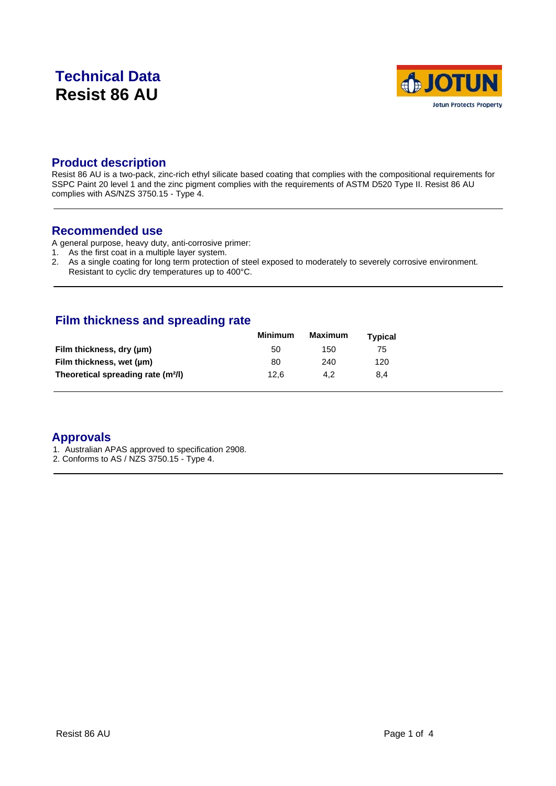## **Technical Data Resist 86 AU**



#### **Product description**

Resist 86 AU is a two-pack, zinc-rich ethyl silicate based coating that complies with the compositional requirements for SSPC Paint 20 level 1 and the zinc pigment complies with the requirements of ASTM D520 Type II. Resist 86 AU complies with AS/NZS 3750.15 - Type 4.

#### **Recommended use**

A general purpose, heavy duty, anti-corrosive primer:

- 1. As the first coat in a multiple layer system.
- 2. As a single coating for long term protection of steel exposed to moderately to severely corrosive environment. Resistant to cyclic dry temperatures up to 400°C.

#### **Film thickness and spreading rate**

|                                                | <b>Minimum</b> | Maximum | <b>Typical</b> |  |
|------------------------------------------------|----------------|---------|----------------|--|
| Film thickness, dry (µm)                       | 50             | 150     | 75             |  |
| Film thickness, wet (µm)                       | 80             | 240     | 120            |  |
| Theoretical spreading rate (m <sup>2</sup> /l) | 12.6           | 4.2     | 8.4            |  |

#### **Approvals**

- 1. Australian APAS approved to specification 2908.
- 2. Conforms to AS / NZS 3750.15 Type 4.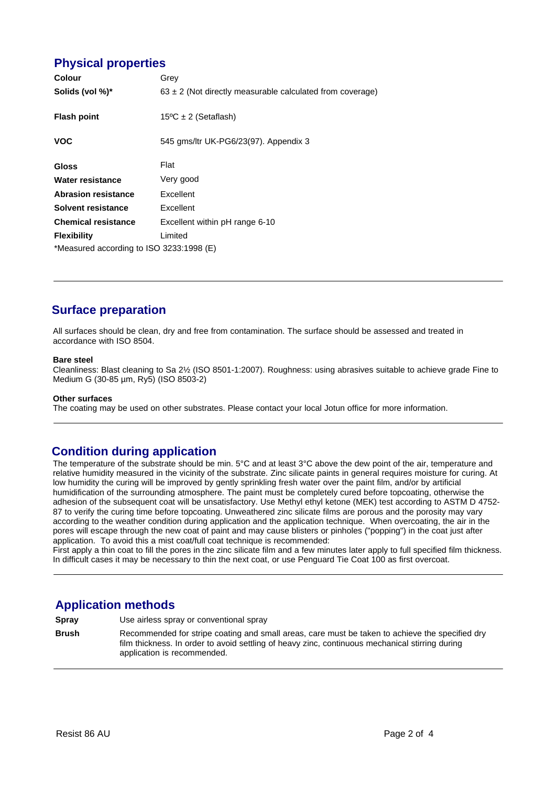### **Physical properties**

| Colour                                   | Grey                                                          |  |  |  |
|------------------------------------------|---------------------------------------------------------------|--|--|--|
| Solids (vol %)*                          | $63 \pm 2$ (Not directly measurable calculated from coverage) |  |  |  |
| <b>Flash point</b>                       | $15^{\circ}$ C ± 2 (Setaflash)                                |  |  |  |
| <b>VOC</b>                               | 545 gms/ltr UK-PG6/23(97). Appendix 3                         |  |  |  |
| Gloss                                    | Flat                                                          |  |  |  |
| Water resistance                         | Very good                                                     |  |  |  |
| <b>Abrasion resistance</b>               | Excellent                                                     |  |  |  |
| Solvent resistance                       | Excellent                                                     |  |  |  |
| <b>Chemical resistance</b>               | Excellent within pH range 6-10                                |  |  |  |
| <b>Flexibility</b>                       | Limited                                                       |  |  |  |
| *Measured according to ISO 3233:1998 (E) |                                                               |  |  |  |

## **Surface preparation**

All surfaces should be clean, dry and free from contamination. The surface should be assessed and treated in accordance with ISO 8504.

#### **Bare steel**

Cleanliness: Blast cleaning to Sa 2½ (ISO 8501-1:2007). Roughness: using abrasives suitable to achieve grade Fine to Medium G (30-85 µm, Ry5) (ISO 8503-2)

#### **Other surfaces**

The coating may be used on other substrates. Please contact your local Jotun office for more information.

#### **Condition during application**

The temperature of the substrate should be min. 5°C and at least 3°C above the dew point of the air, temperature and relative humidity measured in the vicinity of the substrate. Zinc silicate paints in general requires moisture for curing. At low humidity the curing will be improved by gently sprinkling fresh water over the paint film, and/or by artificial humidification of the surrounding atmosphere. The paint must be completely cured before topcoating, otherwise the adhesion of the subsequent coat will be unsatisfactory. Use Methyl ethyl ketone (MEK) test according to ASTM D 4752- 87 to verify the curing time before topcoating. Unweathered zinc silicate films are porous and the porosity may vary according to the weather condition during application and the application technique. When overcoating, the air in the pores will escape through the new coat of paint and may cause blisters or pinholes ("popping") in the coat just after application. To avoid this a mist coat/full coat technique is recommended:

First apply a thin coat to fill the pores in the zinc silicate film and a few minutes later apply to full specified film thickness. In difficult cases it may be necessary to thin the next coat, or use Penguard Tie Coat 100 as first overcoat.

#### **Application methods**

**Spray** Use airless spray or conventional spray

**Brush** Recommended for stripe coating and small areas, care must be taken to achieve the specified dry film thickness. In order to avoid settling of heavy zinc, continuous mechanical stirring during application is recommended.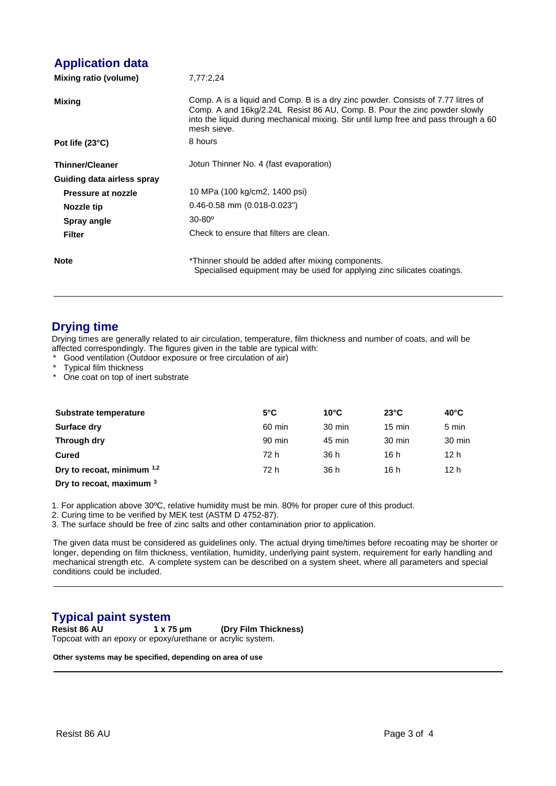## **Application data**

| Mixing ratio (volume)      | 7,77:2,24                                                                                                                                                                                                                                                            |  |  |
|----------------------------|----------------------------------------------------------------------------------------------------------------------------------------------------------------------------------------------------------------------------------------------------------------------|--|--|
| Mixing                     | Comp. A is a liquid and Comp. B is a dry zinc powder. Consists of 7.77 litres of<br>Comp. A and 16kg/2.24L Resist 86 AU, Comp. B. Pour the zinc powder slowly<br>into the liquid during mechanical mixing. Stir until lump free and pass through a 60<br>mesh sieve. |  |  |
| Pot life $(23^{\circ}C)$   | 8 hours                                                                                                                                                                                                                                                              |  |  |
| <b>Thinner/Cleaner</b>     | Jotun Thinner No. 4 (fast evaporation)                                                                                                                                                                                                                               |  |  |
| Guiding data airless spray |                                                                                                                                                                                                                                                                      |  |  |
| Pressure at nozzle         | 10 MPa (100 kg/cm2, 1400 psi)                                                                                                                                                                                                                                        |  |  |
| Nozzle tip                 | $0.46 - 0.58$ mm $(0.018 - 0.023")$                                                                                                                                                                                                                                  |  |  |
| Spray angle                | $30 - 80^{\circ}$                                                                                                                                                                                                                                                    |  |  |
| <b>Filter</b>              | Check to ensure that filters are clean.                                                                                                                                                                                                                              |  |  |
| <b>Note</b>                | *Thinner should be added after mixing components.<br>Specialised equipment may be used for applying zinc silicates coatings.                                                                                                                                         |  |  |

#### **Drying time**

Drying times are generally related to air circulation, temperature, film thickness and number of coats, and will be affected correspondingly. The figures given in the table are typical with:

\* Good ventilation (Outdoor exposure or free circulation of air)

\* Typical film thickness

\* One coat on top of inert substrate

| Substrate temperature      | $5^{\circ}$ C | $10^{\circ}$ C   | $23^{\circ}$ C   | $40^{\circ}$ C  |
|----------------------------|---------------|------------------|------------------|-----------------|
| Surface dry                | 60 min        | $30 \text{ min}$ | $15 \text{ min}$ | 5 min           |
| Through dry                | 90 min        | 45 min           | 30 min           | 30 min          |
| Cured                      | 72 h          | 36 h             | 16 h             | 12 <sub>h</sub> |
| Dry to recoat, minimum 1,2 | 72 h          | 36 h             | 16 h             | 12 <sub>h</sub> |
|                            |               |                  |                  |                 |

**Dry to recoat, maximum <sup>3</sup>**

1. For application above 30ºC, relative humidity must be min. 80% for proper cure of this product.

2. Curing time to be verified by MEK test (ASTM D 4752-87).

3. The surface should be free of zinc salts and other contamination prior to application.

The given data must be considered as guidelines only. The actual drying time/times before recoating may be shorter or longer, depending on film thickness, ventilation, humidity, underlying paint system, requirement for early handling and mechanical strength etc. A complete system can be described on a system sheet, where all parameters and special conditions could be included.

# **Typical paint system**<br>Resist 86 AU 1 x 75 µm

**Resist 86 AU 1 x 75 µm (Dry Film Thickness)** Topcoat with an epoxy or epoxy/urethane or acrylic system.

**Other systems may be specified, depending on area of use**